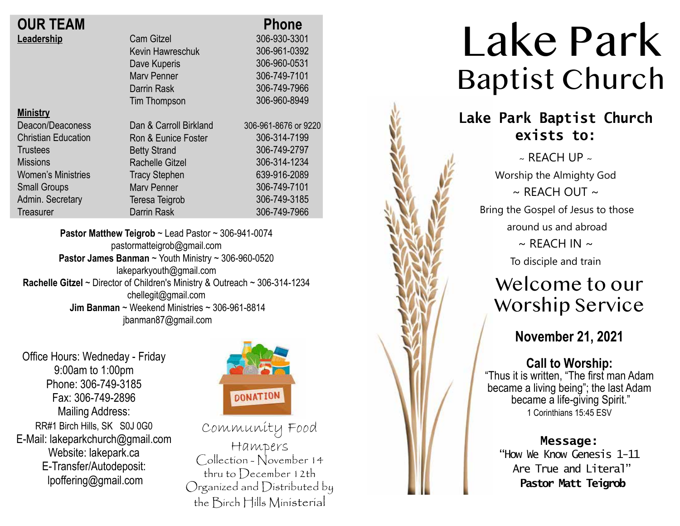| <b>OUR TEAM</b> |  |
|-----------------|--|
| Leadership      |  |

| <b>OUR TEAM</b>            |                        | <b>Phone</b>      |
|----------------------------|------------------------|-------------------|
| Leadership                 | <b>Cam Gitzel</b>      | 306-930-3301      |
|                            | Kevin Hawreschuk       | 306-961-0392      |
|                            | Dave Kuperis           | 306-960-0531      |
|                            | <b>Mary Penner</b>     | 306-749-7101      |
|                            | Darrin Rask            | 306-749-7966      |
|                            | Tim Thompson           | 306-960-8949      |
| <b>Ministry</b>            |                        |                   |
| Deacon/Deaconess           | Dan & Carroll Birkland | 306-961-8676 or 9 |
| <b>Christian Education</b> | Ron & Eunice Foster    | 306-314-7199      |
| <b>Trustees</b>            | <b>Betty Strand</b>    | 306-749-2797      |
| <b>Missions</b>            | <b>Rachelle Gitzel</b> | 306-314-1234      |
| <b>Women's Ministries</b>  | <b>Tracy Stephen</b>   | 639-916-2089      |
| <b>Small Groups</b>        | <b>Mary Penner</b>     | 306-749-7101      |
| Admin. Secretary           | Teresa Teigrob         | 306-749-3185      |
| Treasurer                  | Darrin Rask            | 306-749-7966      |
|                            |                        |                   |

**Pastor Matthew Teigrob** ~ Lead Pastor ~ 306-941-0074 pastormatteigrob@gmail.com **Pastor James Banman** ~ Youth Ministry ~ 306-960-0520 lakeparkyouth@gmail.com **Rachelle Gitzel** ~ Director of Children's Ministry & Outreach ~ 306-314-1234 chellegit@gmail.com  **Jim Banman** ~ Weekend Ministries ~ 306-961-8814 jbanman87@gmail.com

Office Hours: Wedneday - Friday 9:00am to 1:00pm Phone: 306-749-3185 Fax: 306-749-2896 Mailing Address: RR#1 Birch Hills, SK S0J 0G0 E-Mail: lakeparkchurch@gmail.com Website: lakepark.ca E-Transfer/Autodeposit: lpoffering@gmail.com



9220

Community Food Hampers Collection - November 14 thru to December 12th Organized and Distributed by the Birch Hills Ministerial

# Lake Park Baptist Church **Lake Park Baptist Church exists to:**  $\sim$  REACH UP  $\sim$ Worship the Almighty God  $\sim$  RFACH OUT  $\sim$ Bring the Gospel of Jesus to those around us and abroad  $\sim$  REACH IN  $\sim$ To disciple and train Welcome to our Worship Service **November 21, 2021 Call to Worship:** "Thus it is written, "The first man Adam became a living being"; the last Adam became a life-giving Spirit." 1 Corinthians 15:45 ESV **Message:** "How We Know Genesis 1-11 Are True and Literal" **Pastor Matt Teigrob**